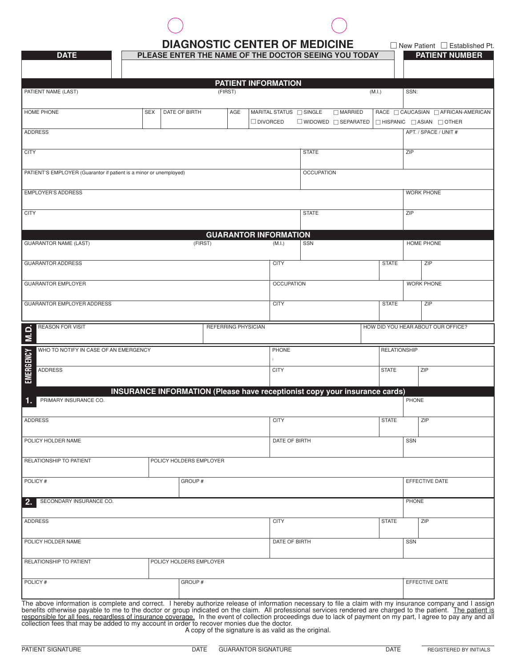# **DIAGNOSTIC CENTER OF MEDICINE DIAGNOSTIC CENTER OF MEDICINE Demonstration Pt.**

| <b>DATE</b>                                                                                                                                                                                                                                                                                                                                                                                                                                                                                                                                                                                  |            | PLEASE ENTER THE NAME OF THE DOCTOR SEEING YOU TODAY                       |                            |                                            |                                 |                |                     | <b>PATIENT NUMBER</b>                                                         |
|----------------------------------------------------------------------------------------------------------------------------------------------------------------------------------------------------------------------------------------------------------------------------------------------------------------------------------------------------------------------------------------------------------------------------------------------------------------------------------------------------------------------------------------------------------------------------------------------|------------|----------------------------------------------------------------------------|----------------------------|--------------------------------------------|---------------------------------|----------------|---------------------|-------------------------------------------------------------------------------|
|                                                                                                                                                                                                                                                                                                                                                                                                                                                                                                                                                                                              |            |                                                                            |                            | <b>PATIENT INFORMATION</b>                 |                                 |                |                     |                                                                               |
| PATIENT NAME (LAST)                                                                                                                                                                                                                                                                                                                                                                                                                                                                                                                                                                          |            |                                                                            | (FIRST)                    |                                            |                                 | (M.I.)         |                     | SSN:                                                                          |
| <b>HOME PHONE</b>                                                                                                                                                                                                                                                                                                                                                                                                                                                                                                                                                                            | <b>SEX</b> | <b>DATE OF BIRTH</b>                                                       | AGE                        | MARITAL STATUS □ SINGLE<br>$\Box$ DIVORCED | $\Box$ WIDOWED $\Box$ SEPARATED | $\Box$ MARRIED |                     | RACE CAUCASIAN CAFRICAN-AMERICAN<br>$\Box$ HISPANIC $\Box$ ASIAN $\Box$ OTHER |
| <b>ADDRESS</b>                                                                                                                                                                                                                                                                                                                                                                                                                                                                                                                                                                               |            |                                                                            |                            |                                            |                                 |                |                     | APT. / SPACE / UNIT #                                                         |
| <b>CITY</b>                                                                                                                                                                                                                                                                                                                                                                                                                                                                                                                                                                                  |            |                                                                            |                            |                                            | <b>STATE</b>                    |                |                     | ZIP                                                                           |
| PATIENT'S EMPLOYER (Guarantor if patient is a minor or unemployed)                                                                                                                                                                                                                                                                                                                                                                                                                                                                                                                           |            |                                                                            |                            |                                            | <b>OCCUPATION</b>               |                |                     |                                                                               |
| <b>EMPLOYER'S ADDRESS</b>                                                                                                                                                                                                                                                                                                                                                                                                                                                                                                                                                                    |            |                                                                            |                            |                                            |                                 |                |                     | <b>WORK PHONE</b>                                                             |
| <b>CITY</b>                                                                                                                                                                                                                                                                                                                                                                                                                                                                                                                                                                                  |            |                                                                            |                            |                                            | <b>STATE</b>                    |                |                     | ZIP                                                                           |
|                                                                                                                                                                                                                                                                                                                                                                                                                                                                                                                                                                                              |            |                                                                            |                            | <b>GUARANTOR INFORMATION</b>               |                                 |                |                     |                                                                               |
| <b>GUARANTOR NAME (LAST)</b>                                                                                                                                                                                                                                                                                                                                                                                                                                                                                                                                                                 |            | (FIRST)                                                                    |                            | (M.I.)                                     | SSN                             |                |                     | HOME PHONE                                                                    |
| <b>GUARANTOR ADDRESS</b>                                                                                                                                                                                                                                                                                                                                                                                                                                                                                                                                                                     |            |                                                                            |                            | <b>CITY</b>                                |                                 |                | <b>STATE</b>        | ZIP                                                                           |
| <b>GUARANTOR EMPLOYER</b>                                                                                                                                                                                                                                                                                                                                                                                                                                                                                                                                                                    |            |                                                                            |                            | <b>OCCUPATION</b>                          |                                 |                |                     | <b>WORK PHONE</b>                                                             |
| <b>GUARANTOR EMPLOYER ADDRESS</b>                                                                                                                                                                                                                                                                                                                                                                                                                                                                                                                                                            |            |                                                                            |                            | <b>CITY</b>                                |                                 |                | <b>STATE</b>        | ZIP                                                                           |
| <b>REASON FOR VISIT</b><br>$\overline{M}$ .D                                                                                                                                                                                                                                                                                                                                                                                                                                                                                                                                                 |            |                                                                            | <b>REFERRING PHYSICIAN</b> |                                            |                                 |                |                     | HOW DID YOU HEAR ABOUT OUR OFFICE?                                            |
| WHO TO NOTIFY IN CASE OF AN EMERGENCY                                                                                                                                                                                                                                                                                                                                                                                                                                                                                                                                                        |            |                                                                            |                            | PHONE                                      |                                 |                | <b>RELATIONSHIP</b> |                                                                               |
| <b>EMERGENCY</b><br><b>ADDRESS</b>                                                                                                                                                                                                                                                                                                                                                                                                                                                                                                                                                           |            |                                                                            |                            | <b>CITY</b>                                |                                 |                | <b>STATE</b>        | ZIP                                                                           |
|                                                                                                                                                                                                                                                                                                                                                                                                                                                                                                                                                                                              |            | INSURANCE INFORMATION (Please have receptionist copy your insurance cards) |                            |                                            |                                 |                |                     |                                                                               |
| PRIMARY INSURANCE CO.<br>1.                                                                                                                                                                                                                                                                                                                                                                                                                                                                                                                                                                  |            |                                                                            |                            |                                            |                                 |                |                     | PHONE                                                                         |
| <b>ADDRESS</b>                                                                                                                                                                                                                                                                                                                                                                                                                                                                                                                                                                               |            |                                                                            |                            | <b>CITY</b>                                |                                 |                | <b>STATE</b>        | ZIP                                                                           |
| POLICY HOLDER NAME                                                                                                                                                                                                                                                                                                                                                                                                                                                                                                                                                                           |            |                                                                            |                            | DATE OF BIRTH                              |                                 |                |                     | <b>SSN</b>                                                                    |
| RELATIONSHIP TO PATIENT                                                                                                                                                                                                                                                                                                                                                                                                                                                                                                                                                                      |            | POLICY HOLDERS EMPLOYER                                                    |                            |                                            |                                 |                |                     |                                                                               |
| POLICY#                                                                                                                                                                                                                                                                                                                                                                                                                                                                                                                                                                                      |            | GROUP#                                                                     |                            |                                            |                                 |                |                     | EFFECTIVE DATE                                                                |
| SECONDARY INSURANCE CO.<br>2.                                                                                                                                                                                                                                                                                                                                                                                                                                                                                                                                                                |            |                                                                            |                            |                                            |                                 |                |                     | PHONE                                                                         |
| <b>ADDRESS</b>                                                                                                                                                                                                                                                                                                                                                                                                                                                                                                                                                                               |            |                                                                            |                            | <b>CITY</b>                                |                                 |                | <b>STATE</b>        | ZIP                                                                           |
| POLICY HOLDER NAME                                                                                                                                                                                                                                                                                                                                                                                                                                                                                                                                                                           |            |                                                                            |                            | DATE OF BIRTH                              |                                 |                | <b>SSN</b>          |                                                                               |
| RELATIONSHIP TO PATIENT                                                                                                                                                                                                                                                                                                                                                                                                                                                                                                                                                                      |            | POLICY HOLDERS EMPLOYER                                                    |                            |                                            |                                 |                |                     |                                                                               |
| POLICY#                                                                                                                                                                                                                                                                                                                                                                                                                                                                                                                                                                                      | GROUP#     |                                                                            |                            |                                            |                                 |                | EFFECTIVE DATE      |                                                                               |
| The above information is complete and correct. I hereby authorize release of information necessary to file a claim with my insurance company and I assign<br>benefits otherwise payable to me to the doctor or group indicated on the claim. All professional services rendered are charged to the patient. The patient is<br>responsible for all fees, regardless of insurance coverage. In the event of collection proceedings due to lack of payment on my part, I agree to pay any and all<br>collection fees that may be added to my account in order to recover monies due the doctor. |            |                                                                            |                            |                                            |                                 |                |                     |                                                                               |

A copy of the signature is as valid as the original.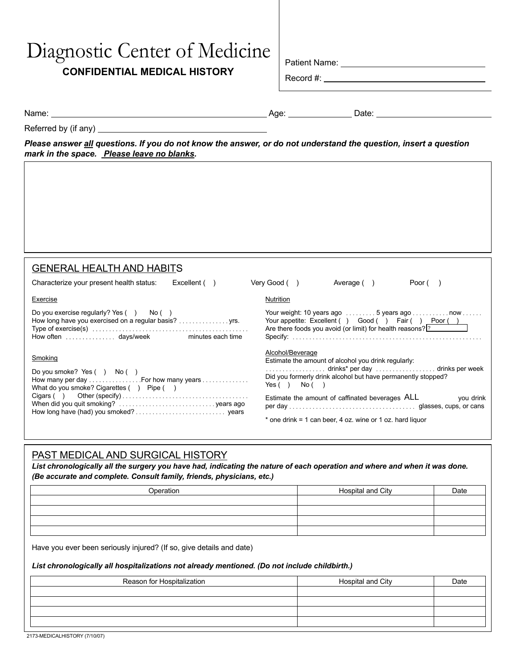# Diagnostic Center of Medicine

# **CONFIDENTIAL MEDICAL HISTORY**

| Patient Name: |  |
|---------------|--|
|               |  |

Record #:

Name: Age: Date:

Referred by (if any)

*Please answer all questions. If you do not know the answer, or do not understand the question, insert a question mark in the space. Please leave no blanks.*

| <b>GENERAL HEALTH AND HABITS</b>                                                                                                      |                                                                                                                                                                                                                |
|---------------------------------------------------------------------------------------------------------------------------------------|----------------------------------------------------------------------------------------------------------------------------------------------------------------------------------------------------------------|
| Excellent ()<br>Characterize your present health status:                                                                              | Very Good ()<br>Average ()<br>Poor $($ )                                                                                                                                                                       |
| Exercise                                                                                                                              | <b>Nutrition</b>                                                                                                                                                                                               |
| Do you exercise regularly? Yes () No ()<br>How long have you exercised on a regular basis?  yrs.                                      | Your weight: 10 years ago $\dots \dots 5$ years ago $\dots \dots \dots$ now $\dots \dots$<br>Your appetite: Excellent () Good () Fair () Poor ()<br>Are there foods you avoid (or limit) for health reasons? ? |
| Smoking<br>Do you smoke? Yes $( )$ No $( )$<br>How many per day  For how many years<br>What do you smoke? Cigarettes $( )$ Pipe $( )$ | Alcohol/Beverage<br>Estimate the amount of alcohol you drink regularly:<br>Did you formerly drink alcohol but have permanently stopped?<br>Yes() No()                                                          |
|                                                                                                                                       | Estimate the amount of caffinated beverages ALL<br>you drink<br>* one drink = 1 can beer, 4 oz. wine or 1 oz. hard liguor                                                                                      |

# PAST MEDICAL AND SURGICAL HISTORY

*List chronologically all the surgery you have had, indicating the nature of each operation and where and when it was done. (Be accurate and complete. Consult family, friends, physicians, etc.)*

| Operation | Hospital and City | Date |
|-----------|-------------------|------|
|           |                   |      |
|           |                   |      |
|           |                   |      |
|           |                   |      |

Have you ever been seriously injured? (If so, give details and date)

#### *List chronologically all hospitalizations not already mentioned. (Do not include childbirth.)*

| Reason for Hospitalization | Hospital and City | Date |
|----------------------------|-------------------|------|
|                            |                   |      |
|                            |                   |      |
|                            |                   |      |
|                            |                   |      |

2173-MEDICALHISTORY (7/10/07)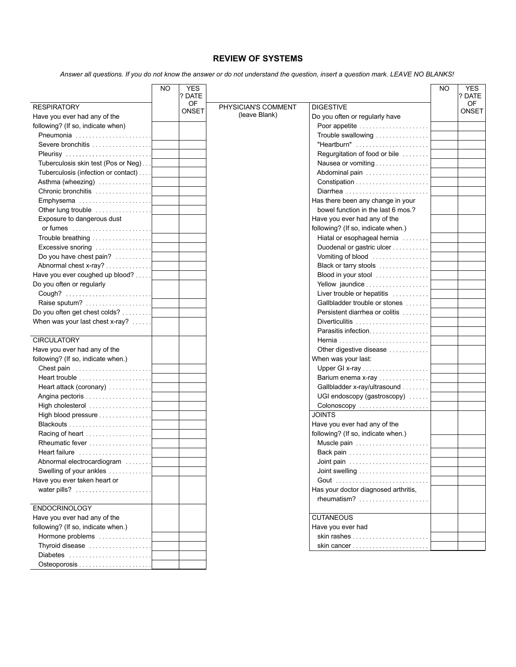## **REVIEW OF SYSTEMS**

*Answer all questions. If you do not know the answer or do not understand the question, insert a question mark. LEAVE NO BLANKS!*

|                                     | NO. | <b>YES</b><br>? DATE |                     |                                      | <b>NO</b> | <b>YES</b><br>? DATE |
|-------------------------------------|-----|----------------------|---------------------|--------------------------------------|-----------|----------------------|
| <b>RESPIRATORY</b>                  |     | OF                   | PHYSICIAN'S COMMENT | <b>DIGESTIVE</b>                     |           | OF.                  |
| Have you ever had any of the        |     | <b>ONSET</b>         | (leave Blank)       | Do you often or regularly have       |           | <b>ONSET</b>         |
| following? (If so, indicate when)   |     |                      |                     |                                      |           |                      |
| Pneumonia                           |     |                      |                     | Trouble swallowing                   |           |                      |
| Severe bronchitis                   |     |                      |                     | "Heartburn"                          |           |                      |
| Pleurisy                            |     |                      |                     | Regurgitation of food or bile        |           |                      |
| Tuberculosis skin test (Pos or Neg) |     |                      |                     | Nausea or vomiting                   |           |                      |
| Tuberculosis (infection or contact) |     |                      |                     | Abdominal pain                       |           |                      |
| Asthma (wheezing)                   |     |                      |                     |                                      |           |                      |
| Chronic bronchitis                  |     |                      |                     | Diarrhea                             |           |                      |
| Emphysema                           |     |                      |                     | Has there been any change in your    |           |                      |
| Other lung trouble                  |     |                      |                     | bowel function in the last 6 mos.?   |           |                      |
| Exposure to dangerous dust          |     |                      |                     | Have you ever had any of the         |           |                      |
|                                     |     |                      |                     | following? (If so, indicate when.)   |           |                      |
| Trouble breathing                   |     |                      |                     | Hiatal or esophageal hernia          |           |                      |
| Excessive snoring                   |     |                      |                     | Duodenal or gastric ulcer            |           |                      |
| Do you have chest pain?             |     |                      |                     | Vomiting of blood                    |           |                      |
| Abnormal chest x-ray?               |     |                      |                     | Black or tarry stools                |           |                      |
| Have you ever coughed up blood?     |     |                      |                     | Blood in your stool                  |           |                      |
| Do you often or regularly           |     |                      |                     | Yellow jaundice                      |           |                      |
|                                     |     |                      |                     | Liver trouble or hepatitis           |           |                      |
| Raise sputum?                       |     |                      |                     | Gallbladder trouble or stones        |           |                      |
| Do you often get chest colds?       |     |                      |                     | Persistent diarrhea or colitis       |           |                      |
| When was your last chest x-ray?     |     |                      |                     | Diverticulitis                       |           |                      |
|                                     |     |                      |                     | Parasitis infection                  |           |                      |
| <b>CIRCULATORY</b>                  |     |                      |                     |                                      |           |                      |
| Have you ever had any of the        |     |                      |                     | Other digestive disease              |           |                      |
| following? (If so, indicate when.)  |     |                      |                     | When was your last:                  |           |                      |
|                                     |     |                      |                     |                                      |           |                      |
| Heart trouble                       |     |                      |                     | Barium enema x-ray                   |           |                      |
| Heart attack (coronary)             |     |                      |                     | Gallbladder x-ray/ultrasound         |           |                      |
|                                     |     |                      |                     | UGI endoscopy (gastroscopy)          |           |                      |
| High cholesterol                    |     |                      |                     | Colonoscopy                          |           |                      |
| High blood pressure                 |     |                      |                     | <b>JOINTS</b>                        |           |                      |
|                                     |     |                      |                     | Have you ever had any of the         |           |                      |
| Racing of heart                     |     |                      |                     | following? (If so, indicate when.)   |           |                      |
| Rheumatic fever                     |     |                      |                     | Muscle pain                          |           |                      |
| Heart failure                       |     |                      |                     | Back pain                            |           |                      |
| Abnormal electrocardiogram          |     |                      |                     | Joint pain                           |           |                      |
| Swelling of your ankles             |     |                      |                     |                                      |           |                      |
| Have you ever taken heart or        |     |                      |                     |                                      |           |                      |
|                                     |     |                      |                     | Has your doctor diagnosed arthritis, |           |                      |
|                                     |     |                      |                     | rheumatism?                          |           |                      |
| <b>ENDOCRINOLOGY</b>                |     |                      |                     |                                      |           |                      |
| Have you ever had any of the        |     |                      |                     | <b>CUTANEOUS</b>                     |           |                      |
| following? (If so, indicate when.)  |     |                      |                     | Have you ever had                    |           |                      |
| Hormone problems                    |     |                      |                     |                                      |           |                      |
| Thyroid disease                     |     |                      |                     | skin cancer                          |           |                      |
| Diabetes                            |     |                      |                     |                                      |           |                      |

Osteoporosis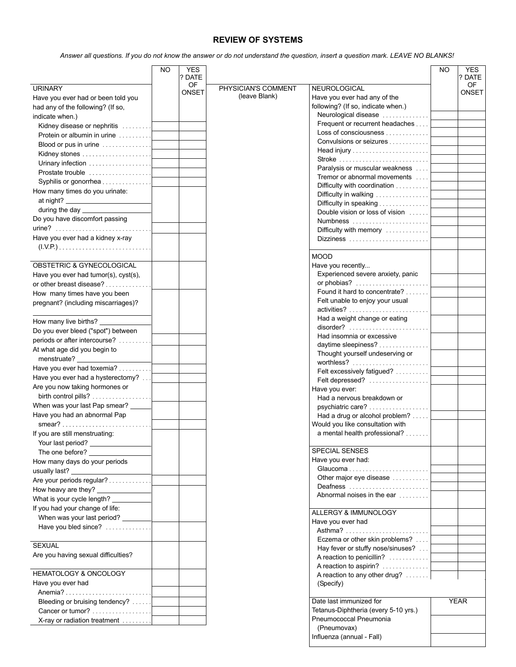## **REVIEW OF SYSTEMS**

*Answer all questions. If you do not know the answer or do not understand the question, insert a question mark. LEAVE NO BLANKS!*

| <b>OF</b><br>OF.<br><b>URINARY</b><br>PHYSICIAN'S COMMENT<br>NEUROLOGICAL<br><b>ONSET</b><br>ONSET<br>(leave Blank)<br>Have you ever had any of the<br>Have you ever had or been told you<br>following? (If so, indicate when.)<br>had any of the following? (If so,<br>Neurological disease<br>indicate when.)<br>Frequent or recurrent headaches<br>Kidney disease or nephritis<br>Loss of consciousness<br>Protein or albumin in urine<br>Convulsions or seizures<br>Blood or pus in urine<br>Head injury<br>Kidney stones<br>Urinary infection<br>Paralysis or muscular weakness<br>Prostate trouble<br>Tremor or abnormal movements<br>Syphilis or gonorrhea<br>Difficulty with coordination<br>How many times do you urinate:<br>Difficulty in walking<br>Difficulty in speaking<br>Double vision or loss of vision<br>Do you have discomfort passing<br>Numbness<br>Difficulty with memory<br>Have you ever had a kidney x-ray<br><b>MOOD</b><br>OBSTETRIC & GYNECOLOGICAL<br>Have you recently<br>Experienced severe anxiety, panic<br>Have you ever had tumor(s), cyst(s),<br>or phobias?<br>or other breast disease?<br>Found it hard to concentrate?<br>How many times have you been<br>Felt unable to enjoy your usual<br>pregnant? (including miscarriages)?<br>activities?<br>Had a weight change or eating<br>How many live births? _______<br>$disorder?$<br>Do you ever bleed ("spot") between<br>Had insomnia or excessive<br>periods or after intercourse?<br>daytime sleepiness?<br>At what age did you begin to<br>Thought yourself undeserving or<br>menstruate?<br>Have you ever had toxemia?<br>Felt excessively fatigued?<br>Have you ever had a hysterectomy?<br>Felt depressed?<br>Are you now taking hormones or<br>Have you ever:<br>Had a nervous breakdown or<br>When was your last Pap smear? __<br>psychiatric care?<br>Have you had an abnormal Pap<br>Had a drug or alcohol problem?<br>Would you like consultation with<br>a mental health professional?<br>If you are still menstruating:<br>Your last period? _<br>SPECIAL SENSES<br>Have you ever had:<br>How many days do your periods<br>usually last?<br>Other major eye disease<br>Are your periods regular?<br>Deafness<br>Abnormal noises in the ear<br>What is your cycle length? _________<br>If you had your change of life:<br>ALLERGY & IMMUNOLOGY<br>When was your last period? _______<br>Have you ever had<br>Have you bled since?<br>Asthma?<br>Eczema or other skin problems?<br><b>SEXUAL</b><br>Hay fever or stuffy nose/sinuses?<br>Are you having sexual difficulties?<br>A reaction to penicillin?<br>A reaction to aspirin?<br><b>HEMATOLOGY &amp; ONCOLOGY</b><br>A reaction to any other drug?<br>Have you ever had<br>(Specify)<br>Bleeding or bruising tendency?<br>Date last immunized for<br><b>YEAR</b><br>Tetanus-Diphtheria (every 5-10 yrs.)<br>Cancer or tumor?<br>Pneumococcal Pneumonia<br>X-ray or radiation treatment<br>(Pneumovax) | NO. | <b>YES</b> |                           | NO. | <b>YES</b> |
|------------------------------------------------------------------------------------------------------------------------------------------------------------------------------------------------------------------------------------------------------------------------------------------------------------------------------------------------------------------------------------------------------------------------------------------------------------------------------------------------------------------------------------------------------------------------------------------------------------------------------------------------------------------------------------------------------------------------------------------------------------------------------------------------------------------------------------------------------------------------------------------------------------------------------------------------------------------------------------------------------------------------------------------------------------------------------------------------------------------------------------------------------------------------------------------------------------------------------------------------------------------------------------------------------------------------------------------------------------------------------------------------------------------------------------------------------------------------------------------------------------------------------------------------------------------------------------------------------------------------------------------------------------------------------------------------------------------------------------------------------------------------------------------------------------------------------------------------------------------------------------------------------------------------------------------------------------------------------------------------------------------------------------------------------------------------------------------------------------------------------------------------------------------------------------------------------------------------------------------------------------------------------------------------------------------------------------------------------------------------------------------------------------------------------------------------------------------------------------------------------------------------------------------------------------------------------------------------------------------------------------------------------------------------------------------------------------------------------------------------------------------------------------------------------------------------------------------------------------------------------------------------------------------------------------------------------------------|-----|------------|---------------------------|-----|------------|
|                                                                                                                                                                                                                                                                                                                                                                                                                                                                                                                                                                                                                                                                                                                                                                                                                                                                                                                                                                                                                                                                                                                                                                                                                                                                                                                                                                                                                                                                                                                                                                                                                                                                                                                                                                                                                                                                                                                                                                                                                                                                                                                                                                                                                                                                                                                                                                                                                                                                                                                                                                                                                                                                                                                                                                                                                                                                                                                                                                  |     | ? DATE     |                           |     | ? DATE     |
|                                                                                                                                                                                                                                                                                                                                                                                                                                                                                                                                                                                                                                                                                                                                                                                                                                                                                                                                                                                                                                                                                                                                                                                                                                                                                                                                                                                                                                                                                                                                                                                                                                                                                                                                                                                                                                                                                                                                                                                                                                                                                                                                                                                                                                                                                                                                                                                                                                                                                                                                                                                                                                                                                                                                                                                                                                                                                                                                                                  |     |            |                           |     |            |
|                                                                                                                                                                                                                                                                                                                                                                                                                                                                                                                                                                                                                                                                                                                                                                                                                                                                                                                                                                                                                                                                                                                                                                                                                                                                                                                                                                                                                                                                                                                                                                                                                                                                                                                                                                                                                                                                                                                                                                                                                                                                                                                                                                                                                                                                                                                                                                                                                                                                                                                                                                                                                                                                                                                                                                                                                                                                                                                                                                  |     |            |                           |     |            |
|                                                                                                                                                                                                                                                                                                                                                                                                                                                                                                                                                                                                                                                                                                                                                                                                                                                                                                                                                                                                                                                                                                                                                                                                                                                                                                                                                                                                                                                                                                                                                                                                                                                                                                                                                                                                                                                                                                                                                                                                                                                                                                                                                                                                                                                                                                                                                                                                                                                                                                                                                                                                                                                                                                                                                                                                                                                                                                                                                                  |     |            |                           |     |            |
|                                                                                                                                                                                                                                                                                                                                                                                                                                                                                                                                                                                                                                                                                                                                                                                                                                                                                                                                                                                                                                                                                                                                                                                                                                                                                                                                                                                                                                                                                                                                                                                                                                                                                                                                                                                                                                                                                                                                                                                                                                                                                                                                                                                                                                                                                                                                                                                                                                                                                                                                                                                                                                                                                                                                                                                                                                                                                                                                                                  |     |            |                           |     |            |
|                                                                                                                                                                                                                                                                                                                                                                                                                                                                                                                                                                                                                                                                                                                                                                                                                                                                                                                                                                                                                                                                                                                                                                                                                                                                                                                                                                                                                                                                                                                                                                                                                                                                                                                                                                                                                                                                                                                                                                                                                                                                                                                                                                                                                                                                                                                                                                                                                                                                                                                                                                                                                                                                                                                                                                                                                                                                                                                                                                  |     |            |                           |     |            |
|                                                                                                                                                                                                                                                                                                                                                                                                                                                                                                                                                                                                                                                                                                                                                                                                                                                                                                                                                                                                                                                                                                                                                                                                                                                                                                                                                                                                                                                                                                                                                                                                                                                                                                                                                                                                                                                                                                                                                                                                                                                                                                                                                                                                                                                                                                                                                                                                                                                                                                                                                                                                                                                                                                                                                                                                                                                                                                                                                                  |     |            |                           |     |            |
|                                                                                                                                                                                                                                                                                                                                                                                                                                                                                                                                                                                                                                                                                                                                                                                                                                                                                                                                                                                                                                                                                                                                                                                                                                                                                                                                                                                                                                                                                                                                                                                                                                                                                                                                                                                                                                                                                                                                                                                                                                                                                                                                                                                                                                                                                                                                                                                                                                                                                                                                                                                                                                                                                                                                                                                                                                                                                                                                                                  |     |            |                           |     |            |
|                                                                                                                                                                                                                                                                                                                                                                                                                                                                                                                                                                                                                                                                                                                                                                                                                                                                                                                                                                                                                                                                                                                                                                                                                                                                                                                                                                                                                                                                                                                                                                                                                                                                                                                                                                                                                                                                                                                                                                                                                                                                                                                                                                                                                                                                                                                                                                                                                                                                                                                                                                                                                                                                                                                                                                                                                                                                                                                                                                  |     |            |                           |     |            |
|                                                                                                                                                                                                                                                                                                                                                                                                                                                                                                                                                                                                                                                                                                                                                                                                                                                                                                                                                                                                                                                                                                                                                                                                                                                                                                                                                                                                                                                                                                                                                                                                                                                                                                                                                                                                                                                                                                                                                                                                                                                                                                                                                                                                                                                                                                                                                                                                                                                                                                                                                                                                                                                                                                                                                                                                                                                                                                                                                                  |     |            |                           |     |            |
|                                                                                                                                                                                                                                                                                                                                                                                                                                                                                                                                                                                                                                                                                                                                                                                                                                                                                                                                                                                                                                                                                                                                                                                                                                                                                                                                                                                                                                                                                                                                                                                                                                                                                                                                                                                                                                                                                                                                                                                                                                                                                                                                                                                                                                                                                                                                                                                                                                                                                                                                                                                                                                                                                                                                                                                                                                                                                                                                                                  |     |            |                           |     |            |
|                                                                                                                                                                                                                                                                                                                                                                                                                                                                                                                                                                                                                                                                                                                                                                                                                                                                                                                                                                                                                                                                                                                                                                                                                                                                                                                                                                                                                                                                                                                                                                                                                                                                                                                                                                                                                                                                                                                                                                                                                                                                                                                                                                                                                                                                                                                                                                                                                                                                                                                                                                                                                                                                                                                                                                                                                                                                                                                                                                  |     |            |                           |     |            |
|                                                                                                                                                                                                                                                                                                                                                                                                                                                                                                                                                                                                                                                                                                                                                                                                                                                                                                                                                                                                                                                                                                                                                                                                                                                                                                                                                                                                                                                                                                                                                                                                                                                                                                                                                                                                                                                                                                                                                                                                                                                                                                                                                                                                                                                                                                                                                                                                                                                                                                                                                                                                                                                                                                                                                                                                                                                                                                                                                                  |     |            |                           |     |            |
|                                                                                                                                                                                                                                                                                                                                                                                                                                                                                                                                                                                                                                                                                                                                                                                                                                                                                                                                                                                                                                                                                                                                                                                                                                                                                                                                                                                                                                                                                                                                                                                                                                                                                                                                                                                                                                                                                                                                                                                                                                                                                                                                                                                                                                                                                                                                                                                                                                                                                                                                                                                                                                                                                                                                                                                                                                                                                                                                                                  |     |            |                           |     |            |
|                                                                                                                                                                                                                                                                                                                                                                                                                                                                                                                                                                                                                                                                                                                                                                                                                                                                                                                                                                                                                                                                                                                                                                                                                                                                                                                                                                                                                                                                                                                                                                                                                                                                                                                                                                                                                                                                                                                                                                                                                                                                                                                                                                                                                                                                                                                                                                                                                                                                                                                                                                                                                                                                                                                                                                                                                                                                                                                                                                  |     |            |                           |     |            |
|                                                                                                                                                                                                                                                                                                                                                                                                                                                                                                                                                                                                                                                                                                                                                                                                                                                                                                                                                                                                                                                                                                                                                                                                                                                                                                                                                                                                                                                                                                                                                                                                                                                                                                                                                                                                                                                                                                                                                                                                                                                                                                                                                                                                                                                                                                                                                                                                                                                                                                                                                                                                                                                                                                                                                                                                                                                                                                                                                                  |     |            |                           |     |            |
|                                                                                                                                                                                                                                                                                                                                                                                                                                                                                                                                                                                                                                                                                                                                                                                                                                                                                                                                                                                                                                                                                                                                                                                                                                                                                                                                                                                                                                                                                                                                                                                                                                                                                                                                                                                                                                                                                                                                                                                                                                                                                                                                                                                                                                                                                                                                                                                                                                                                                                                                                                                                                                                                                                                                                                                                                                                                                                                                                                  |     |            |                           |     |            |
|                                                                                                                                                                                                                                                                                                                                                                                                                                                                                                                                                                                                                                                                                                                                                                                                                                                                                                                                                                                                                                                                                                                                                                                                                                                                                                                                                                                                                                                                                                                                                                                                                                                                                                                                                                                                                                                                                                                                                                                                                                                                                                                                                                                                                                                                                                                                                                                                                                                                                                                                                                                                                                                                                                                                                                                                                                                                                                                                                                  |     |            |                           |     |            |
|                                                                                                                                                                                                                                                                                                                                                                                                                                                                                                                                                                                                                                                                                                                                                                                                                                                                                                                                                                                                                                                                                                                                                                                                                                                                                                                                                                                                                                                                                                                                                                                                                                                                                                                                                                                                                                                                                                                                                                                                                                                                                                                                                                                                                                                                                                                                                                                                                                                                                                                                                                                                                                                                                                                                                                                                                                                                                                                                                                  |     |            |                           |     |            |
|                                                                                                                                                                                                                                                                                                                                                                                                                                                                                                                                                                                                                                                                                                                                                                                                                                                                                                                                                                                                                                                                                                                                                                                                                                                                                                                                                                                                                                                                                                                                                                                                                                                                                                                                                                                                                                                                                                                                                                                                                                                                                                                                                                                                                                                                                                                                                                                                                                                                                                                                                                                                                                                                                                                                                                                                                                                                                                                                                                  |     |            |                           |     |            |
|                                                                                                                                                                                                                                                                                                                                                                                                                                                                                                                                                                                                                                                                                                                                                                                                                                                                                                                                                                                                                                                                                                                                                                                                                                                                                                                                                                                                                                                                                                                                                                                                                                                                                                                                                                                                                                                                                                                                                                                                                                                                                                                                                                                                                                                                                                                                                                                                                                                                                                                                                                                                                                                                                                                                                                                                                                                                                                                                                                  |     |            |                           |     |            |
|                                                                                                                                                                                                                                                                                                                                                                                                                                                                                                                                                                                                                                                                                                                                                                                                                                                                                                                                                                                                                                                                                                                                                                                                                                                                                                                                                                                                                                                                                                                                                                                                                                                                                                                                                                                                                                                                                                                                                                                                                                                                                                                                                                                                                                                                                                                                                                                                                                                                                                                                                                                                                                                                                                                                                                                                                                                                                                                                                                  |     |            |                           |     |            |
|                                                                                                                                                                                                                                                                                                                                                                                                                                                                                                                                                                                                                                                                                                                                                                                                                                                                                                                                                                                                                                                                                                                                                                                                                                                                                                                                                                                                                                                                                                                                                                                                                                                                                                                                                                                                                                                                                                                                                                                                                                                                                                                                                                                                                                                                                                                                                                                                                                                                                                                                                                                                                                                                                                                                                                                                                                                                                                                                                                  |     |            |                           |     |            |
|                                                                                                                                                                                                                                                                                                                                                                                                                                                                                                                                                                                                                                                                                                                                                                                                                                                                                                                                                                                                                                                                                                                                                                                                                                                                                                                                                                                                                                                                                                                                                                                                                                                                                                                                                                                                                                                                                                                                                                                                                                                                                                                                                                                                                                                                                                                                                                                                                                                                                                                                                                                                                                                                                                                                                                                                                                                                                                                                                                  |     |            |                           |     |            |
|                                                                                                                                                                                                                                                                                                                                                                                                                                                                                                                                                                                                                                                                                                                                                                                                                                                                                                                                                                                                                                                                                                                                                                                                                                                                                                                                                                                                                                                                                                                                                                                                                                                                                                                                                                                                                                                                                                                                                                                                                                                                                                                                                                                                                                                                                                                                                                                                                                                                                                                                                                                                                                                                                                                                                                                                                                                                                                                                                                  |     |            |                           |     |            |
|                                                                                                                                                                                                                                                                                                                                                                                                                                                                                                                                                                                                                                                                                                                                                                                                                                                                                                                                                                                                                                                                                                                                                                                                                                                                                                                                                                                                                                                                                                                                                                                                                                                                                                                                                                                                                                                                                                                                                                                                                                                                                                                                                                                                                                                                                                                                                                                                                                                                                                                                                                                                                                                                                                                                                                                                                                                                                                                                                                  |     |            |                           |     |            |
|                                                                                                                                                                                                                                                                                                                                                                                                                                                                                                                                                                                                                                                                                                                                                                                                                                                                                                                                                                                                                                                                                                                                                                                                                                                                                                                                                                                                                                                                                                                                                                                                                                                                                                                                                                                                                                                                                                                                                                                                                                                                                                                                                                                                                                                                                                                                                                                                                                                                                                                                                                                                                                                                                                                                                                                                                                                                                                                                                                  |     |            |                           |     |            |
|                                                                                                                                                                                                                                                                                                                                                                                                                                                                                                                                                                                                                                                                                                                                                                                                                                                                                                                                                                                                                                                                                                                                                                                                                                                                                                                                                                                                                                                                                                                                                                                                                                                                                                                                                                                                                                                                                                                                                                                                                                                                                                                                                                                                                                                                                                                                                                                                                                                                                                                                                                                                                                                                                                                                                                                                                                                                                                                                                                  |     |            |                           |     |            |
|                                                                                                                                                                                                                                                                                                                                                                                                                                                                                                                                                                                                                                                                                                                                                                                                                                                                                                                                                                                                                                                                                                                                                                                                                                                                                                                                                                                                                                                                                                                                                                                                                                                                                                                                                                                                                                                                                                                                                                                                                                                                                                                                                                                                                                                                                                                                                                                                                                                                                                                                                                                                                                                                                                                                                                                                                                                                                                                                                                  |     |            |                           |     |            |
|                                                                                                                                                                                                                                                                                                                                                                                                                                                                                                                                                                                                                                                                                                                                                                                                                                                                                                                                                                                                                                                                                                                                                                                                                                                                                                                                                                                                                                                                                                                                                                                                                                                                                                                                                                                                                                                                                                                                                                                                                                                                                                                                                                                                                                                                                                                                                                                                                                                                                                                                                                                                                                                                                                                                                                                                                                                                                                                                                                  |     |            |                           |     |            |
|                                                                                                                                                                                                                                                                                                                                                                                                                                                                                                                                                                                                                                                                                                                                                                                                                                                                                                                                                                                                                                                                                                                                                                                                                                                                                                                                                                                                                                                                                                                                                                                                                                                                                                                                                                                                                                                                                                                                                                                                                                                                                                                                                                                                                                                                                                                                                                                                                                                                                                                                                                                                                                                                                                                                                                                                                                                                                                                                                                  |     |            |                           |     |            |
|                                                                                                                                                                                                                                                                                                                                                                                                                                                                                                                                                                                                                                                                                                                                                                                                                                                                                                                                                                                                                                                                                                                                                                                                                                                                                                                                                                                                                                                                                                                                                                                                                                                                                                                                                                                                                                                                                                                                                                                                                                                                                                                                                                                                                                                                                                                                                                                                                                                                                                                                                                                                                                                                                                                                                                                                                                                                                                                                                                  |     |            |                           |     |            |
|                                                                                                                                                                                                                                                                                                                                                                                                                                                                                                                                                                                                                                                                                                                                                                                                                                                                                                                                                                                                                                                                                                                                                                                                                                                                                                                                                                                                                                                                                                                                                                                                                                                                                                                                                                                                                                                                                                                                                                                                                                                                                                                                                                                                                                                                                                                                                                                                                                                                                                                                                                                                                                                                                                                                                                                                                                                                                                                                                                  |     |            |                           |     |            |
|                                                                                                                                                                                                                                                                                                                                                                                                                                                                                                                                                                                                                                                                                                                                                                                                                                                                                                                                                                                                                                                                                                                                                                                                                                                                                                                                                                                                                                                                                                                                                                                                                                                                                                                                                                                                                                                                                                                                                                                                                                                                                                                                                                                                                                                                                                                                                                                                                                                                                                                                                                                                                                                                                                                                                                                                                                                                                                                                                                  |     |            |                           |     |            |
|                                                                                                                                                                                                                                                                                                                                                                                                                                                                                                                                                                                                                                                                                                                                                                                                                                                                                                                                                                                                                                                                                                                                                                                                                                                                                                                                                                                                                                                                                                                                                                                                                                                                                                                                                                                                                                                                                                                                                                                                                                                                                                                                                                                                                                                                                                                                                                                                                                                                                                                                                                                                                                                                                                                                                                                                                                                                                                                                                                  |     |            |                           |     |            |
|                                                                                                                                                                                                                                                                                                                                                                                                                                                                                                                                                                                                                                                                                                                                                                                                                                                                                                                                                                                                                                                                                                                                                                                                                                                                                                                                                                                                                                                                                                                                                                                                                                                                                                                                                                                                                                                                                                                                                                                                                                                                                                                                                                                                                                                                                                                                                                                                                                                                                                                                                                                                                                                                                                                                                                                                                                                                                                                                                                  |     |            |                           |     |            |
|                                                                                                                                                                                                                                                                                                                                                                                                                                                                                                                                                                                                                                                                                                                                                                                                                                                                                                                                                                                                                                                                                                                                                                                                                                                                                                                                                                                                                                                                                                                                                                                                                                                                                                                                                                                                                                                                                                                                                                                                                                                                                                                                                                                                                                                                                                                                                                                                                                                                                                                                                                                                                                                                                                                                                                                                                                                                                                                                                                  |     |            |                           |     |            |
|                                                                                                                                                                                                                                                                                                                                                                                                                                                                                                                                                                                                                                                                                                                                                                                                                                                                                                                                                                                                                                                                                                                                                                                                                                                                                                                                                                                                                                                                                                                                                                                                                                                                                                                                                                                                                                                                                                                                                                                                                                                                                                                                                                                                                                                                                                                                                                                                                                                                                                                                                                                                                                                                                                                                                                                                                                                                                                                                                                  |     |            |                           |     |            |
|                                                                                                                                                                                                                                                                                                                                                                                                                                                                                                                                                                                                                                                                                                                                                                                                                                                                                                                                                                                                                                                                                                                                                                                                                                                                                                                                                                                                                                                                                                                                                                                                                                                                                                                                                                                                                                                                                                                                                                                                                                                                                                                                                                                                                                                                                                                                                                                                                                                                                                                                                                                                                                                                                                                                                                                                                                                                                                                                                                  |     |            |                           |     |            |
|                                                                                                                                                                                                                                                                                                                                                                                                                                                                                                                                                                                                                                                                                                                                                                                                                                                                                                                                                                                                                                                                                                                                                                                                                                                                                                                                                                                                                                                                                                                                                                                                                                                                                                                                                                                                                                                                                                                                                                                                                                                                                                                                                                                                                                                                                                                                                                                                                                                                                                                                                                                                                                                                                                                                                                                                                                                                                                                                                                  |     |            |                           |     |            |
|                                                                                                                                                                                                                                                                                                                                                                                                                                                                                                                                                                                                                                                                                                                                                                                                                                                                                                                                                                                                                                                                                                                                                                                                                                                                                                                                                                                                                                                                                                                                                                                                                                                                                                                                                                                                                                                                                                                                                                                                                                                                                                                                                                                                                                                                                                                                                                                                                                                                                                                                                                                                                                                                                                                                                                                                                                                                                                                                                                  |     |            |                           |     |            |
|                                                                                                                                                                                                                                                                                                                                                                                                                                                                                                                                                                                                                                                                                                                                                                                                                                                                                                                                                                                                                                                                                                                                                                                                                                                                                                                                                                                                                                                                                                                                                                                                                                                                                                                                                                                                                                                                                                                                                                                                                                                                                                                                                                                                                                                                                                                                                                                                                                                                                                                                                                                                                                                                                                                                                                                                                                                                                                                                                                  |     |            |                           |     |            |
|                                                                                                                                                                                                                                                                                                                                                                                                                                                                                                                                                                                                                                                                                                                                                                                                                                                                                                                                                                                                                                                                                                                                                                                                                                                                                                                                                                                                                                                                                                                                                                                                                                                                                                                                                                                                                                                                                                                                                                                                                                                                                                                                                                                                                                                                                                                                                                                                                                                                                                                                                                                                                                                                                                                                                                                                                                                                                                                                                                  |     |            |                           |     |            |
|                                                                                                                                                                                                                                                                                                                                                                                                                                                                                                                                                                                                                                                                                                                                                                                                                                                                                                                                                                                                                                                                                                                                                                                                                                                                                                                                                                                                                                                                                                                                                                                                                                                                                                                                                                                                                                                                                                                                                                                                                                                                                                                                                                                                                                                                                                                                                                                                                                                                                                                                                                                                                                                                                                                                                                                                                                                                                                                                                                  |     |            |                           |     |            |
|                                                                                                                                                                                                                                                                                                                                                                                                                                                                                                                                                                                                                                                                                                                                                                                                                                                                                                                                                                                                                                                                                                                                                                                                                                                                                                                                                                                                                                                                                                                                                                                                                                                                                                                                                                                                                                                                                                                                                                                                                                                                                                                                                                                                                                                                                                                                                                                                                                                                                                                                                                                                                                                                                                                                                                                                                                                                                                                                                                  |     |            |                           |     |            |
|                                                                                                                                                                                                                                                                                                                                                                                                                                                                                                                                                                                                                                                                                                                                                                                                                                                                                                                                                                                                                                                                                                                                                                                                                                                                                                                                                                                                                                                                                                                                                                                                                                                                                                                                                                                                                                                                                                                                                                                                                                                                                                                                                                                                                                                                                                                                                                                                                                                                                                                                                                                                                                                                                                                                                                                                                                                                                                                                                                  |     |            |                           |     |            |
|                                                                                                                                                                                                                                                                                                                                                                                                                                                                                                                                                                                                                                                                                                                                                                                                                                                                                                                                                                                                                                                                                                                                                                                                                                                                                                                                                                                                                                                                                                                                                                                                                                                                                                                                                                                                                                                                                                                                                                                                                                                                                                                                                                                                                                                                                                                                                                                                                                                                                                                                                                                                                                                                                                                                                                                                                                                                                                                                                                  |     |            |                           |     |            |
|                                                                                                                                                                                                                                                                                                                                                                                                                                                                                                                                                                                                                                                                                                                                                                                                                                                                                                                                                                                                                                                                                                                                                                                                                                                                                                                                                                                                                                                                                                                                                                                                                                                                                                                                                                                                                                                                                                                                                                                                                                                                                                                                                                                                                                                                                                                                                                                                                                                                                                                                                                                                                                                                                                                                                                                                                                                                                                                                                                  |     |            |                           |     |            |
|                                                                                                                                                                                                                                                                                                                                                                                                                                                                                                                                                                                                                                                                                                                                                                                                                                                                                                                                                                                                                                                                                                                                                                                                                                                                                                                                                                                                                                                                                                                                                                                                                                                                                                                                                                                                                                                                                                                                                                                                                                                                                                                                                                                                                                                                                                                                                                                                                                                                                                                                                                                                                                                                                                                                                                                                                                                                                                                                                                  |     |            |                           |     |            |
|                                                                                                                                                                                                                                                                                                                                                                                                                                                                                                                                                                                                                                                                                                                                                                                                                                                                                                                                                                                                                                                                                                                                                                                                                                                                                                                                                                                                                                                                                                                                                                                                                                                                                                                                                                                                                                                                                                                                                                                                                                                                                                                                                                                                                                                                                                                                                                                                                                                                                                                                                                                                                                                                                                                                                                                                                                                                                                                                                                  |     |            |                           |     |            |
|                                                                                                                                                                                                                                                                                                                                                                                                                                                                                                                                                                                                                                                                                                                                                                                                                                                                                                                                                                                                                                                                                                                                                                                                                                                                                                                                                                                                                                                                                                                                                                                                                                                                                                                                                                                                                                                                                                                                                                                                                                                                                                                                                                                                                                                                                                                                                                                                                                                                                                                                                                                                                                                                                                                                                                                                                                                                                                                                                                  |     |            |                           |     |            |
|                                                                                                                                                                                                                                                                                                                                                                                                                                                                                                                                                                                                                                                                                                                                                                                                                                                                                                                                                                                                                                                                                                                                                                                                                                                                                                                                                                                                                                                                                                                                                                                                                                                                                                                                                                                                                                                                                                                                                                                                                                                                                                                                                                                                                                                                                                                                                                                                                                                                                                                                                                                                                                                                                                                                                                                                                                                                                                                                                                  |     |            |                           |     |            |
|                                                                                                                                                                                                                                                                                                                                                                                                                                                                                                                                                                                                                                                                                                                                                                                                                                                                                                                                                                                                                                                                                                                                                                                                                                                                                                                                                                                                                                                                                                                                                                                                                                                                                                                                                                                                                                                                                                                                                                                                                                                                                                                                                                                                                                                                                                                                                                                                                                                                                                                                                                                                                                                                                                                                                                                                                                                                                                                                                                  |     |            |                           |     |            |
|                                                                                                                                                                                                                                                                                                                                                                                                                                                                                                                                                                                                                                                                                                                                                                                                                                                                                                                                                                                                                                                                                                                                                                                                                                                                                                                                                                                                                                                                                                                                                                                                                                                                                                                                                                                                                                                                                                                                                                                                                                                                                                                                                                                                                                                                                                                                                                                                                                                                                                                                                                                                                                                                                                                                                                                                                                                                                                                                                                  |     |            |                           |     |            |
|                                                                                                                                                                                                                                                                                                                                                                                                                                                                                                                                                                                                                                                                                                                                                                                                                                                                                                                                                                                                                                                                                                                                                                                                                                                                                                                                                                                                                                                                                                                                                                                                                                                                                                                                                                                                                                                                                                                                                                                                                                                                                                                                                                                                                                                                                                                                                                                                                                                                                                                                                                                                                                                                                                                                                                                                                                                                                                                                                                  |     |            |                           |     |            |
|                                                                                                                                                                                                                                                                                                                                                                                                                                                                                                                                                                                                                                                                                                                                                                                                                                                                                                                                                                                                                                                                                                                                                                                                                                                                                                                                                                                                                                                                                                                                                                                                                                                                                                                                                                                                                                                                                                                                                                                                                                                                                                                                                                                                                                                                                                                                                                                                                                                                                                                                                                                                                                                                                                                                                                                                                                                                                                                                                                  |     |            |                           |     |            |
|                                                                                                                                                                                                                                                                                                                                                                                                                                                                                                                                                                                                                                                                                                                                                                                                                                                                                                                                                                                                                                                                                                                                                                                                                                                                                                                                                                                                                                                                                                                                                                                                                                                                                                                                                                                                                                                                                                                                                                                                                                                                                                                                                                                                                                                                                                                                                                                                                                                                                                                                                                                                                                                                                                                                                                                                                                                                                                                                                                  |     |            |                           |     |            |
|                                                                                                                                                                                                                                                                                                                                                                                                                                                                                                                                                                                                                                                                                                                                                                                                                                                                                                                                                                                                                                                                                                                                                                                                                                                                                                                                                                                                                                                                                                                                                                                                                                                                                                                                                                                                                                                                                                                                                                                                                                                                                                                                                                                                                                                                                                                                                                                                                                                                                                                                                                                                                                                                                                                                                                                                                                                                                                                                                                  |     |            |                           |     |            |
|                                                                                                                                                                                                                                                                                                                                                                                                                                                                                                                                                                                                                                                                                                                                                                                                                                                                                                                                                                                                                                                                                                                                                                                                                                                                                                                                                                                                                                                                                                                                                                                                                                                                                                                                                                                                                                                                                                                                                                                                                                                                                                                                                                                                                                                                                                                                                                                                                                                                                                                                                                                                                                                                                                                                                                                                                                                                                                                                                                  |     |            |                           |     |            |
|                                                                                                                                                                                                                                                                                                                                                                                                                                                                                                                                                                                                                                                                                                                                                                                                                                                                                                                                                                                                                                                                                                                                                                                                                                                                                                                                                                                                                                                                                                                                                                                                                                                                                                                                                                                                                                                                                                                                                                                                                                                                                                                                                                                                                                                                                                                                                                                                                                                                                                                                                                                                                                                                                                                                                                                                                                                                                                                                                                  |     |            |                           |     |            |
|                                                                                                                                                                                                                                                                                                                                                                                                                                                                                                                                                                                                                                                                                                                                                                                                                                                                                                                                                                                                                                                                                                                                                                                                                                                                                                                                                                                                                                                                                                                                                                                                                                                                                                                                                                                                                                                                                                                                                                                                                                                                                                                                                                                                                                                                                                                                                                                                                                                                                                                                                                                                                                                                                                                                                                                                                                                                                                                                                                  |     |            |                           |     |            |
|                                                                                                                                                                                                                                                                                                                                                                                                                                                                                                                                                                                                                                                                                                                                                                                                                                                                                                                                                                                                                                                                                                                                                                                                                                                                                                                                                                                                                                                                                                                                                                                                                                                                                                                                                                                                                                                                                                                                                                                                                                                                                                                                                                                                                                                                                                                                                                                                                                                                                                                                                                                                                                                                                                                                                                                                                                                                                                                                                                  |     |            |                           |     |            |
|                                                                                                                                                                                                                                                                                                                                                                                                                                                                                                                                                                                                                                                                                                                                                                                                                                                                                                                                                                                                                                                                                                                                                                                                                                                                                                                                                                                                                                                                                                                                                                                                                                                                                                                                                                                                                                                                                                                                                                                                                                                                                                                                                                                                                                                                                                                                                                                                                                                                                                                                                                                                                                                                                                                                                                                                                                                                                                                                                                  |     |            |                           |     |            |
|                                                                                                                                                                                                                                                                                                                                                                                                                                                                                                                                                                                                                                                                                                                                                                                                                                                                                                                                                                                                                                                                                                                                                                                                                                                                                                                                                                                                                                                                                                                                                                                                                                                                                                                                                                                                                                                                                                                                                                                                                                                                                                                                                                                                                                                                                                                                                                                                                                                                                                                                                                                                                                                                                                                                                                                                                                                                                                                                                                  |     |            |                           |     |            |
|                                                                                                                                                                                                                                                                                                                                                                                                                                                                                                                                                                                                                                                                                                                                                                                                                                                                                                                                                                                                                                                                                                                                                                                                                                                                                                                                                                                                                                                                                                                                                                                                                                                                                                                                                                                                                                                                                                                                                                                                                                                                                                                                                                                                                                                                                                                                                                                                                                                                                                                                                                                                                                                                                                                                                                                                                                                                                                                                                                  |     |            |                           |     |            |
|                                                                                                                                                                                                                                                                                                                                                                                                                                                                                                                                                                                                                                                                                                                                                                                                                                                                                                                                                                                                                                                                                                                                                                                                                                                                                                                                                                                                                                                                                                                                                                                                                                                                                                                                                                                                                                                                                                                                                                                                                                                                                                                                                                                                                                                                                                                                                                                                                                                                                                                                                                                                                                                                                                                                                                                                                                                                                                                                                                  |     |            | Influenza (annual - Fall) |     |            |